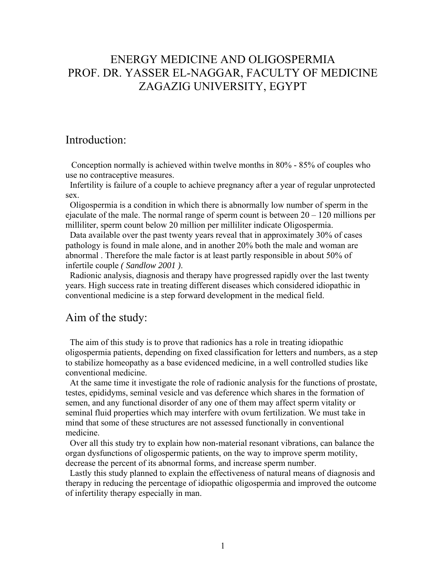# ENERGY MEDICINE AND OLIGOSPERMIA PROF. DR. YASSER EL-NAGGAR, FACULTY OF MEDICINE ZAGAZIG UNIVERSITY, EGYPT

### Introduction:

 Conception normally is achieved within twelve months in 80% - 85% of couples who use no contraceptive measures.

 Infertility is failure of a couple to achieve pregnancy after a year of regular unprotected sex.

 Oligospermia is a condition in which there is abnormally low number of sperm in the ejaculate of the male. The normal range of sperm count is between  $20 - 120$  millions per milliliter, sperm count below 20 million per milliliter indicate Oligospermia.

 Data available over the past twenty years reveal that in approximately 30% of cases pathology is found in male alone, and in another 20% both the male and woman are abnormal . Therefore the male factor is at least partly responsible in about 50% of infertile couple *( Sandlow 2001 )*.

 Radionic analysis, diagnosis and therapy have progressed rapidly over the last twenty years. High success rate in treating different diseases which considered idiopathic in conventional medicine is a step forward development in the medical field.

## Aim of the study:

 The aim of this study is to prove that radionics has a role in treating idiopathic oligospermia patients, depending on fixed classification for letters and numbers, as a step to stabilize homeopathy as a base evidenced medicine, in a well controlled studies like conventional medicine.

 At the same time it investigate the role of radionic analysis for the functions of prostate, testes, epididyms, seminal vesicle and vas deference which shares in the formation of semen, and any functional disorder of any one of them may affect sperm vitality or seminal fluid properties which may interfere with ovum fertilization. We must take in mind that some of these structures are not assessed functionally in conventional medicine.

 Over all this study try to explain how non-material resonant vibrations, can balance the organ dysfunctions of oligospermic patients, on the way to improve sperm motility, decrease the percent of its abnormal forms, and increase sperm number.

 Lastly this study planned to explain the effectiveness of natural means of diagnosis and therapy in reducing the percentage of idiopathic oligospermia and improved the outcome of infertility therapy especially in man.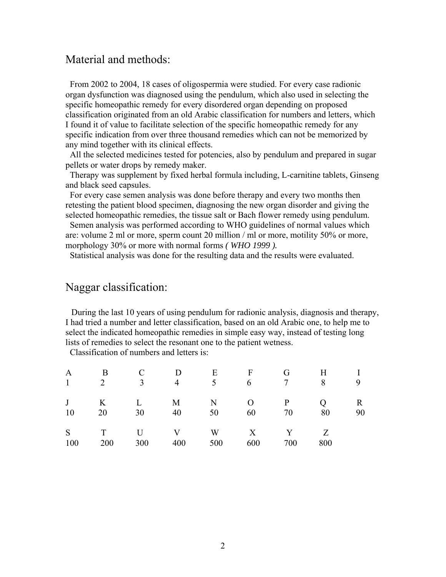## Material and methods:

 From 2002 to 2004, 18 cases of oligospermia were studied. For every case radionic organ dysfunction was diagnosed using the pendulum, which also used in selecting the specific homeopathic remedy for every disordered organ depending on proposed classification originated from an old Arabic classification for numbers and letters, which I found it of value to facilitate selection of the specific homeopathic remedy for any specific indication from over three thousand remedies which can not be memorized by any mind together with its clinical effects.

 All the selected medicines tested for potencies, also by pendulum and prepared in sugar pellets or water drops by remedy maker.

 Therapy was supplement by fixed herbal formula including, L-carnitine tablets, Ginseng and black seed capsules.

 For every case semen analysis was done before therapy and every two months then retesting the patient blood specimen, diagnosing the new organ disorder and giving the selected homeopathic remedies, the tissue salt or Bach flower remedy using pendulum.

 Semen analysis was performed according to WHO guidelines of normal values which are: volume 2 ml or more, sperm count 20 million / ml or more, motility 50% or more, morphology 30% or more with normal forms *( WHO 1999 ).*

Statistical analysis was done for the resulting data and the results were evaluated.

## Naggar classification:

 During the last 10 years of using pendulum for radionic analysis, diagnosis and therapy, I had tried a number and letter classification, based on an old Arabic one, to help me to select the indicated homeopathic remedies in simple easy way, instead of testing long lists of remedies to select the resonant one to the patient wetness.

Classification of numbers and letters is:

|  | A B C D E F G H I                   |  |     |              |
|--|-------------------------------------|--|-----|--------------|
|  | $1 \t2 \t3 \t4 \t5 \t6 \t7 \t8 \t9$ |  |     |              |
|  | J K L M N O P Q                     |  |     | $\mathbf{R}$ |
|  | 10 20 30 40 50 60 70 80             |  |     | 90           |
|  | S T U V W X Y Z                     |  |     |              |
|  | 100 200 300 400 500 600 700         |  | 800 |              |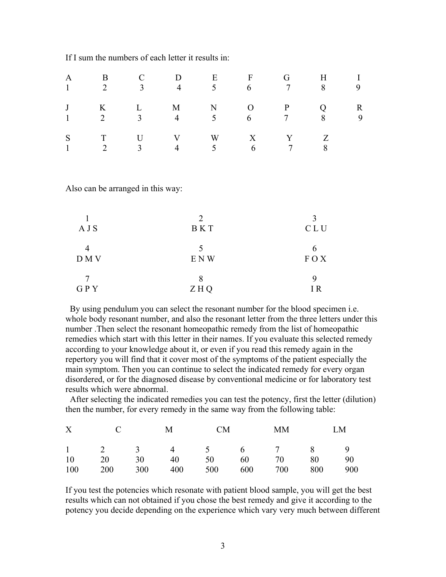|  | A B C D E F G H I<br>$1 \t 2 \t 3 \t 4 \t 5 \t 6 \t 7 \t 8 \t 9$                                 |  |  |  |
|--|--------------------------------------------------------------------------------------------------|--|--|--|
|  | J K L M N O P Q R<br>$1 \qquad 2 \qquad 3 \qquad 4 \qquad 5 \qquad 6 \qquad 7 \qquad 8 \qquad 9$ |  |  |  |
|  | S T U V W X Y Z<br>$1 \t 2 \t 3 \t 4 \t 5 \t 6 \t 7 \t 8$                                        |  |  |  |

If I sum the numbers of each letter it results in:

Also can be arranged in this way:

| A J S | $\mathcal{D}_{\mathcal{A}}^{\mathcal{A}}(\mathcal{A}) = \mathcal{D}_{\mathcal{A}}^{\mathcal{A}}(\mathcal{A}) = \mathcal{D}_{\mathcal{A}}^{\mathcal{A}}(\mathcal{A}) = \mathcal{D}_{\mathcal{A}}^{\mathcal{A}}(\mathcal{A}) = \mathcal{D}_{\mathcal{A}}^{\mathcal{A}}(\mathcal{A}) = \mathcal{D}_{\mathcal{A}}^{\mathcal{A}}(\mathcal{A}) = \mathcal{D}_{\mathcal{A}}^{\mathcal{A}}(\mathcal{A}) = \mathcal{D}_{\mathcal{A}}^{\mathcal{A}}(\mathcal{A}) = \mathcal{D}_{\mathcal{A}}$<br><b>BKT</b> | C L U    |
|-------|---------------------------------------------------------------------------------------------------------------------------------------------------------------------------------------------------------------------------------------------------------------------------------------------------------------------------------------------------------------------------------------------------------------------------------------------------------------------------------------------------|----------|
| D M V | E N W                                                                                                                                                                                                                                                                                                                                                                                                                                                                                             | FOX      |
| GPY   | ZHQ                                                                                                                                                                                                                                                                                                                                                                                                                                                                                               | q<br>I R |

 By using pendulum you can select the resonant number for the blood specimen i.e. whole body resonant number, and also the resonant letter from the three letters under this number .Then select the resonant homeopathic remedy from the list of homeopathic remedies which start with this letter in their names. If you evaluate this selected remedy according to your knowledge about it, or even if you read this remedy again in the repertory you will find that it cover most of the symptoms of the patient especially the main symptom. Then you can continue to select the indicated remedy for every organ disordered, or for the diagnosed disease by conventional medicine or for laboratory test results which were abnormal.

 After selecting the indicated remedies you can test the potency, first the letter (dilution) then the number, for every remedy in the same way from the following table:

|  |  |  | X C M CM MM LM                      |  |
|--|--|--|-------------------------------------|--|
|  |  |  | $1 \t2 \t3 \t4 \t5 \t6 \t7 \t8 \t9$ |  |
|  |  |  | 10 20 30 40 50 60 70 80 90          |  |
|  |  |  | 100 200 300 400 500 600 700 800 900 |  |

If you test the potencies which resonate with patient blood sample, you will get the best results which can not obtained if you chose the best remedy and give it according to the potency you decide depending on the experience which vary very much between different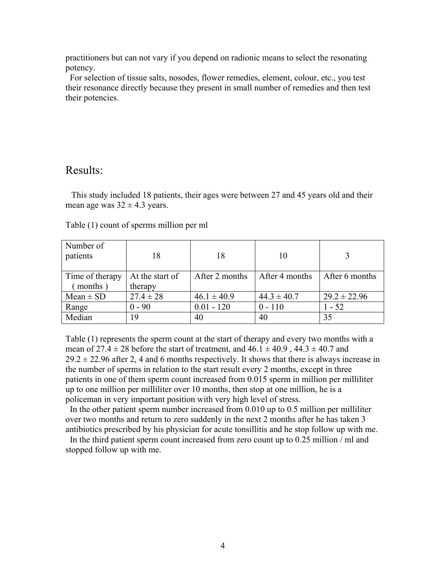practitioners but can not vary if you depend on radionic means to select the resonating potency.

 For selection of tissue salts, nosodes, flower remedies, element, colour, etc., you test their resonance directly because they present in small number of remedies and then test their potencies.

## Results:

 This study included 18 patients, their ages were between 27 and 45 years old and their mean age was  $32 \pm 4.3$  years.

| Number of<br>patients      | 18                         | 18              | 10              |                  |
|----------------------------|----------------------------|-----------------|-----------------|------------------|
| Time of therapy<br>months) | At the start of<br>therapy | After 2 months  | After 4 months  | After 6 months   |
| $Mean \pm SD$              | $27.4 \pm 28$              | $46.1 \pm 40.9$ | $44.3 \pm 40.7$ | $29.2 \pm 22.96$ |
| Range                      | $0 - 90$                   | $0.01 - 120$    | $0 - 110$       | $1 - 52$         |
| Median                     | 19                         | 40              | 40              | 35               |

Table (1) count of sperms million per ml

Table (1) represents the sperm count at the start of therapy and every two months with a mean of  $27.4 \pm 28$  before the start of treatment, and  $46.1 \pm 40.9$ ,  $44.3 \pm 40.7$  and  $29.2 \pm 22.96$  after 2, 4 and 6 months respectively. It shows that there is always increase in the number of sperms in relation to the start result every 2 months, except in three patients in one of them sperm count increased from 0.015 sperm in million per milliliter up to one million per milliliter over 10 months, then stop at one million, he is a policeman in very important position with very high level of stress.

 In the other patient sperm number increased from 0.010 up to 0.5 million per milliliter over two months and return to zero suddenly in the next 2 months after he has taken 3 antibiotics prescribed by his physician for acute tonsillitis and he stop follow up with me.

In the third patient sperm count increased from zero count up to 0.25 million / ml and stopped follow up with me.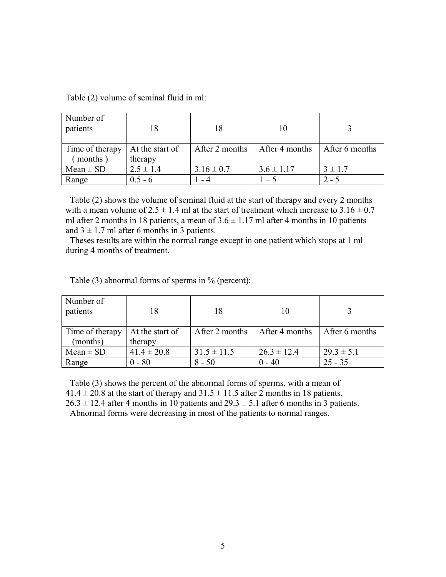| Number of<br>patients |                 | 18             |                |                |
|-----------------------|-----------------|----------------|----------------|----------------|
| Time of therapy       | At the start of | After 2 months | After 4 months | After 6 months |
| months                | therapy         |                |                |                |
| $Mean \pm SD$         | $2.5 \pm 1.4$   | $3.16 \pm 0.7$ | $3.6 \pm 1.17$ | $3 \pm 1.7$    |
| Range                 | $0.5 - 6$       | - 4            | $1 - 5$        | $2 - 5$        |

Table (2) volume of seminal fluid in ml:

 Table (2) shows the volume of seminal fluid at the start of therapy and every 2 months with a mean volume of  $2.5 \pm 1.4$  ml at the start of treatment which increase to  $3.16 \pm 0.7$ ml after 2 months in 18 patients, a mean of  $3.6 \pm 1.17$  ml after 4 months in 10 patients and  $3 \pm 1.7$  ml after 6 months in 3 patients.

 Theses results are within the normal range except in one patient which stops at 1 ml during 4 months of treatment.

Table (3) abnormal forms of sperms in % (percent):

| Number of<br>patients |                 | 18              |                 |                |
|-----------------------|-----------------|-----------------|-----------------|----------------|
| Time of therapy       | At the start of | After 2 months  | After 4 months  | After 6 months |
| (months)              | therapy         |                 |                 |                |
| $Mean \pm SD$         | $41.4 \pm 20.8$ | $31.5 \pm 11.5$ | $26.3 \pm 12.4$ | $29.3 \pm 5.1$ |
| Range                 | $0 - 80$        | $8 - 50$        | $0 - 40$        | $25 - 35$      |

 Table (3) shows the percent of the abnormal forms of sperms, with a mean of  $41.4 \pm 20.8$  at the start of therapy and  $31.5 \pm 11.5$  after 2 months in 18 patients,

 $26.3 \pm 12.4$  after 4 months in 10 patients and  $29.3 \pm 5.1$  after 6 months in 3 patients.

Abnormal forms were decreasing in most of the patients to normal ranges.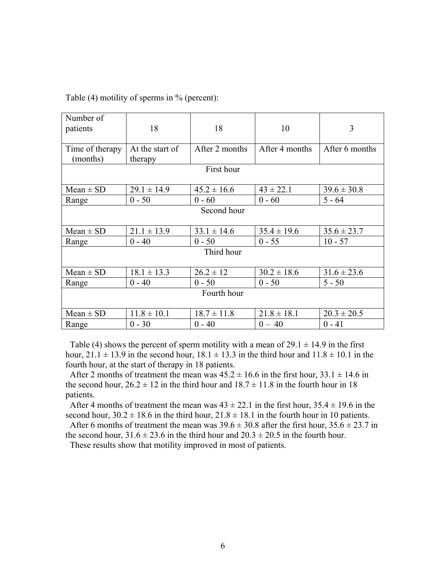Table (4) motility of sperms in % (percent):

| Number of<br>patients | 18              | 18              | 10              | 3               |  |  |  |
|-----------------------|-----------------|-----------------|-----------------|-----------------|--|--|--|
| Time of therapy       | At the start of | After 2 months  | After 4 months  | After 6 months  |  |  |  |
| (months)              | therapy         |                 |                 |                 |  |  |  |
| First hour            |                 |                 |                 |                 |  |  |  |
| $Mean \pm SD$         | $29.1 \pm 14.9$ | $45.2 \pm 16.6$ | $43 \pm 22.1$   | $39.6 \pm 30.8$ |  |  |  |
| Range                 | $0 - 50$        | $0 - 60$        | $0 - 60$        | $5 - 64$        |  |  |  |
| Second hour           |                 |                 |                 |                 |  |  |  |
| $Mean \pm SD$         | $21.1 \pm 13.9$ | $33.1 \pm 14.6$ | $35.4 \pm 19.6$ | $35.6 \pm 23.7$ |  |  |  |
| Range                 | $0 - 40$        | $0 - 50$        | $0 - 55$        | $10 - 57$       |  |  |  |
| Third hour            |                 |                 |                 |                 |  |  |  |
| $Mean \pm SD$         | $18.1 \pm 13.3$ | $26.2 \pm 12$   | $30.2 \pm 18.6$ | $31.6 \pm 23.6$ |  |  |  |
| Range                 | $0 - 40$        | $0 - 50$        | $0 - 50$        | $5 - 50$        |  |  |  |
| Fourth hour           |                 |                 |                 |                 |  |  |  |
| $Mean \pm SD$         | $11.8 \pm 10.1$ | $18.7 \pm 11.8$ | $21.8 \pm 18.1$ | $20.3 \pm 20.5$ |  |  |  |
| Range                 | $0 - 30$        | $0 - 40$        | $0 - 40$        | $0 - 41$        |  |  |  |

Table (4) shows the percent of sperm motility with a mean of  $29.1 \pm 14.9$  in the first hour,  $21.1 \pm 13.9$  in the second hour,  $18.1 \pm 13.3$  in the third hour and  $11.8 \pm 10.1$  in the fourth hour, at the start of therapy in 18 patients.

After 2 months of treatment the mean was  $45.2 \pm 16.6$  in the first hour,  $33.1 \pm 14.6$  in the second hour,  $26.2 \pm 12$  in the third hour and  $18.7 \pm 11.8$  in the fourth hour in 18 patients.

After 4 months of treatment the mean was  $43 \pm 22.1$  in the first hour,  $35.4 \pm 19.6$  in the second hour,  $30.2 \pm 18.6$  in the third hour,  $21.8 \pm 18.1$  in the fourth hour in 10 patients.

After 6 months of treatment the mean was  $39.6 \pm 30.8$  after the first hour,  $35.6 \pm 23.7$  in the second hour,  $31.6 \pm 23.6$  in the third hour and  $20.3 \pm 20.5$  in the fourth hour.

These results show that motility improved in most of patients.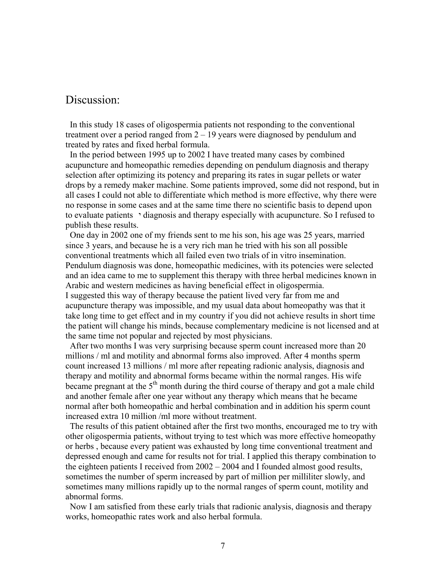## Discussion:

 In this study 18 cases of oligospermia patients not responding to the conventional treatment over a period ranged from  $2 - 19$  years were diagnosed by pendulum and treated by rates and fixed herbal formula.

 In the period between 1995 up to 2002 I have treated many cases by combined acupuncture and homeopathic remedies depending on pendulum diagnosis and therapy selection after optimizing its potency and preparing its rates in sugar pellets or water drops by a remedy maker machine. Some patients improved, some did not respond, but in all cases I could not able to differentiate which method is more effective, why there were no response in some cases and at the same time there no scientific basis to depend upon to evaluate patients י diagnosis and therapy especially with acupuncture. So I refused to publish these results.

 One day in 2002 one of my friends sent to me his son, his age was 25 years, married since 3 years, and because he is a very rich man he tried with his son all possible conventional treatments which all failed even two trials of in vitro insemination. Pendulum diagnosis was done, homeopathic medicines, with its potencies were selected and an idea came to me to supplement this therapy with three herbal medicines known in Arabic and western medicines as having beneficial effect in oligospermia. I suggested this way of therapy because the patient lived very far from me and acupuncture therapy was impossible, and my usual data about homeopathy was that it take long time to get effect and in my country if you did not achieve results in short time the patient will change his minds, because complementary medicine is not licensed and at the same time not popular and rejected by most physicians.

 After two months I was very surprising because sperm count increased more than 20 millions / ml and motility and abnormal forms also improved. After 4 months sperm count increased 13 millions / ml more after repeating radionic analysis, diagnosis and therapy and motility and abnormal forms became within the normal ranges. His wife became pregnant at the  $5<sup>th</sup>$  month during the third course of therapy and got a male child and another female after one year without any therapy which means that he became normal after both homeopathic and herbal combination and in addition his sperm count increased extra 10 million /ml more without treatment.

 The results of this patient obtained after the first two months, encouraged me to try with other oligospermia patients, without trying to test which was more effective homeopathy or herbs , because every patient was exhausted by long time conventional treatment and depressed enough and came for results not for trial. I applied this therapy combination to the eighteen patients I received from 2002 – 2004 and I founded almost good results, sometimes the number of sperm increased by part of million per milliliter slowly, and sometimes many millions rapidly up to the normal ranges of sperm count, motility and abnormal forms.

 Now I am satisfied from these early trials that radionic analysis, diagnosis and therapy works, homeopathic rates work and also herbal formula.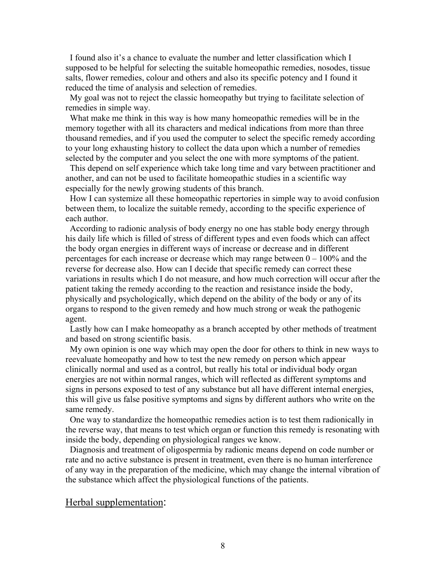I found also it's a chance to evaluate the number and letter classification which I supposed to be helpful for selecting the suitable homeopathic remedies, nosodes, tissue salts, flower remedies, colour and others and also its specific potency and I found it reduced the time of analysis and selection of remedies.

 My goal was not to reject the classic homeopathy but trying to facilitate selection of remedies in simple way.

 What make me think in this way is how many homeopathic remedies will be in the memory together with all its characters and medical indications from more than three thousand remedies, and if you used the computer to select the specific remedy according to your long exhausting history to collect the data upon which a number of remedies selected by the computer and you select the one with more symptoms of the patient.

 This depend on self experience which take long time and vary between practitioner and another, and can not be used to facilitate homeopathic studies in a scientific way especially for the newly growing students of this branch.

 How I can systemize all these homeopathic repertories in simple way to avoid confusion between them, to localize the suitable remedy, according to the specific experience of each author.

 According to radionic analysis of body energy no one has stable body energy through his daily life which is filled of stress of different types and even foods which can affect the body organ energies in different ways of increase or decrease and in different percentages for each increase or decrease which may range between 0 – 100% and the reverse for decrease also. How can I decide that specific remedy can correct these variations in results which I do not measure, and how much correction will occur after the patient taking the remedy according to the reaction and resistance inside the body, physically and psychologically, which depend on the ability of the body or any of its organs to respond to the given remedy and how much strong or weak the pathogenic agent.

 Lastly how can I make homeopathy as a branch accepted by other methods of treatment and based on strong scientific basis.

 My own opinion is one way which may open the door for others to think in new ways to reevaluate homeopathy and how to test the new remedy on person which appear clinically normal and used as a control, but really his total or individual body organ energies are not within normal ranges, which will reflected as different symptoms and signs in persons exposed to test of any substance but all have different internal energies, this will give us false positive symptoms and signs by different authors who write on the same remedy.

 One way to standardize the homeopathic remedies action is to test them radionically in the reverse way, that means to test which organ or function this remedy is resonating with inside the body, depending on physiological ranges we know.

 Diagnosis and treatment of oligospermia by radionic means depend on code number or rate and no active substance is present in treatment, even there is no human interference of any way in the preparation of the medicine, which may change the internal vibration of the substance which affect the physiological functions of the patients.

#### Herbal supplementation: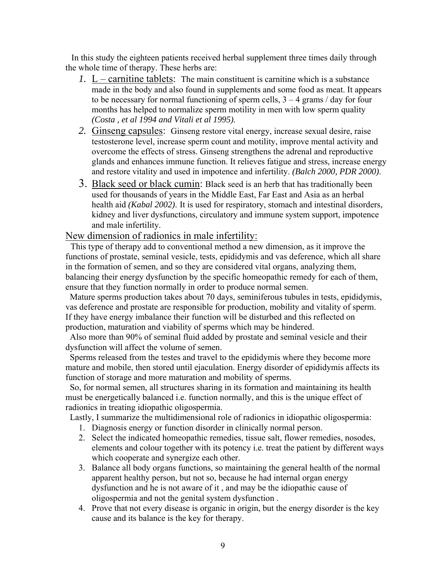In this study the eighteen patients received herbal supplement three times daily through the whole time of therapy. These herbs are:

- *1.* L carnitine tablets: The main constituent is carnitine which is a substance made in the body and also found in supplements and some food as meat. It appears to be necessary for normal functioning of sperm cells,  $3 - 4$  grams / day for four months has helped to normalize sperm motility in men with low sperm quality *(Costa , et al 1994 and Vitali et al 1995).*
- *2.* Ginseng capsules: Ginseng restore vital energy, increase sexual desire, raise testosterone level, increase sperm count and motility, improve mental activity and overcome the effects of stress. Ginseng strengthens the adrenal and reproductive glands and enhances immune function. It relieves fatigue and stress, increase energy and restore vitality and used in impotence and infertility. *(Balch 2000, PDR 2000)*.
- 3. Black seed or black cumin: Black seed is an herb that has traditionally been used for thousands of years in the Middle East, Far East and Asia as an herbal health aid *(Kabal 2002)*. It is used for respiratory, stomach and intestinal disorders, kidney and liver dysfunctions, circulatory and immune system support, impotence and male infertility.

#### New dimension of radionics in male infertility:

 This type of therapy add to conventional method a new dimension, as it improve the functions of prostate, seminal vesicle, tests, epididymis and vas deference, which all share in the formation of semen, and so they are considered vital organs, analyzing them, balancing their energy dysfunction by the specific homeopathic remedy for each of them, ensure that they function normally in order to produce normal semen.

 Mature sperms production takes about 70 days, seminiferous tubules in tests, epididymis, vas deference and prostate are responsible for production, mobility and vitality of sperm. If they have energy imbalance their function will be disturbed and this reflected on production, maturation and viability of sperms which may be hindered.

 Also more than 90% of seminal fluid added by prostate and seminal vesicle and their dysfunction will affect the volume of semen.

 Sperms released from the testes and travel to the epididymis where they become more mature and mobile, then stored until ejaculation. Energy disorder of epididymis affects its function of storage and more maturation and mobility of sperms.

 So, for normal semen, all structures sharing in its formation and maintaining its health must be energetically balanced i.e. function normally, and this is the unique effect of radionics in treating idiopathic oligospermia.

Lastly, I summarize the multidimensional role of radionics in idiopathic oligospermia:

- 1. Diagnosis energy or function disorder in clinically normal person.
- 2. Select the indicated homeopathic remedies, tissue salt, flower remedies, nosodes, elements and colour together with its potency i.e. treat the patient by different ways which cooperate and synergize each other.
- 3. Balance all body organs functions, so maintaining the general health of the normal apparent healthy person, but not so, because he had internal organ energy dysfunction and he is not aware of it , and may be the idiopathic cause of oligospermia and not the genital system dysfunction .
- 4. Prove that not every disease is organic in origin, but the energy disorder is the key cause and its balance is the key for therapy.